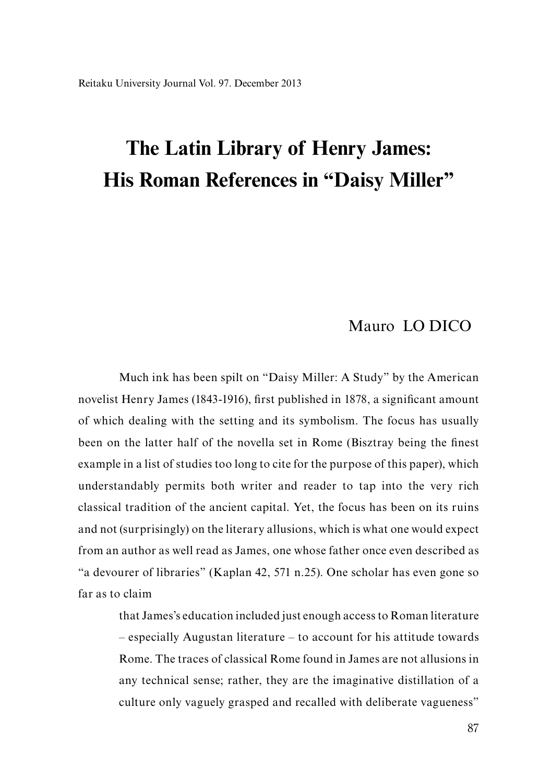# Mauro LO DICO

Much ink has been spilt on "Daisy Miller: A Study" by the American novelist Henry James (1843-1916), first published in 1878, a significant amount of which dealing with the setting and its symbolism. The focus has usually been on the latter half of the novella set in Rome (Bisztray being the finest example in a list of studies too long to cite for the purpose of this paper), which understandably permits both writer and reader to tap into the very rich classical tradition of the ancient capital. Yet, the focus has been on its ruins and not (surprisingly) on the literary allusions, which is what one would expect from an author as well read as James, one whose father once even described as "a devourer of libraries" (Kaplan 42, 571 n.25). One scholar has even gone so far as to claim

> that James's education included just enough access to Roman literature – especially Augustan literature – to account for his attitude towards Rome. The traces of classical Rome found in James are not allusions in any technical sense; rather, they are the imaginative distillation of a culture only vaguely grasped and recalled with deliberate vagueness"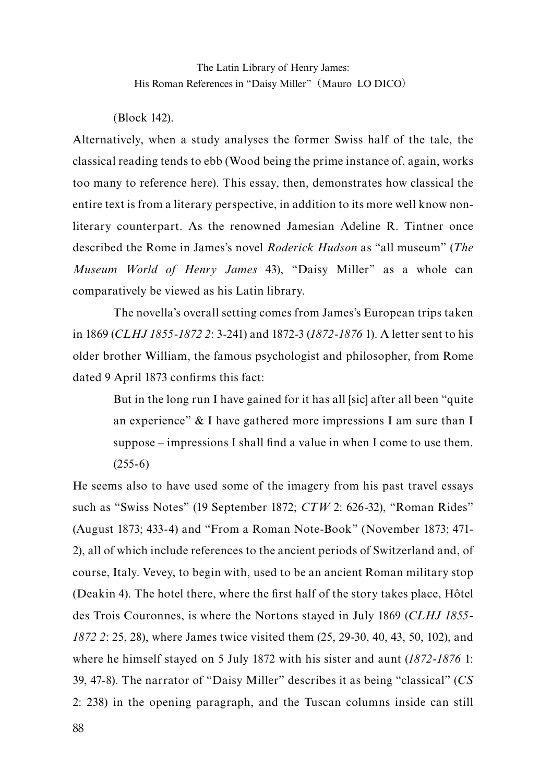(Block 142).

Alternatively, when a study analyses the former Swiss half of the tale, the classical reading tends to ebb (Wood being the prime instance of, again, works too many to reference here). This essay, then, demonstrates how classical the entire text is from a literary perspective, in addition to its more well know nonliterary counterpart. As the renowned Jamesian Adeline R. Tintner once described the Rome in James's novel *Roderick Hudson* as "all museum" (*The Museum World of Henry James* 43), "Daisy Miller" as a whole can comparatively be viewed as his Latin library.

The novella's overall setting comes from James's European trips taken in 1869 (*CLHJ 1855-1872 2*: 3-241) and 1872-3 (*1872-1876* 1). A letter sent to his older brother William, the famous psychologist and philosopher, from Rome dated 9 April 1873 confirms this fact:

But in the long run I have gained for it has all [sic] after all been "quite an experience" & I have gathered more impressions I am sure than I suppose – impressions I shall find a value in when I come to use them.  $(255-6)$ 

He seems also to have used some of the imagery from his past travel essays such as "Swiss Notes" (19 September 1872; *CTW* 2: 626-32), "Roman Rides" (August 1873; 433-4) and "From a Roman Note-Book" (November 1873; 471- 2), all of which include references to the ancient periods of Switzerland and, of course, Italy. Vevey, to begin with, used to be an ancient Roman military stop (Deakin 4). The hotel there, where the first half of the story takes place, Hôtel des Trois Couronnes, is where the Nortons stayed in July 1869 (*CLHJ 1855- 1872 2*: 25, 28), where James twice visited them (25, 29-30, 40, 43, 50, 102), and where he himself stayed on 5 July 1872 with his sister and aunt (*1872-1876* 1: 39, 47-8). The narrator of "Daisy Miller" describes it as being "classical" (*CS* 2: 238) in the opening paragraph, and the Tuscan columns inside can still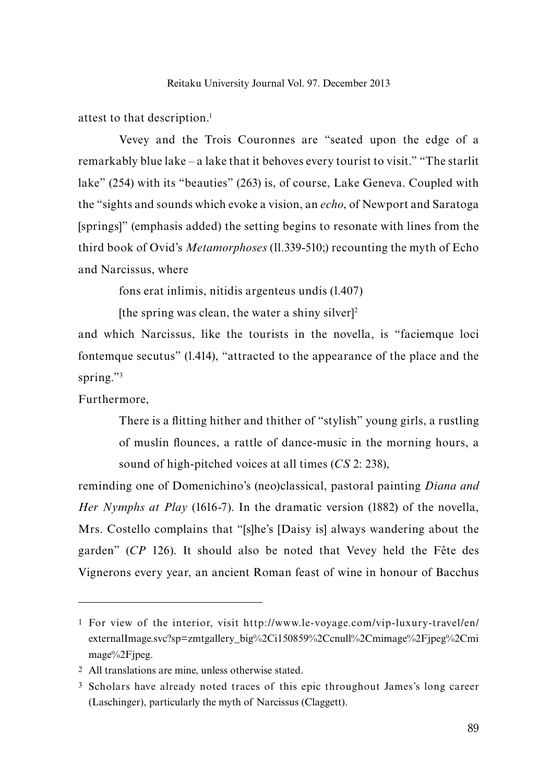attest to that description.<sup>1</sup>

Vevey and the Trois Couronnes are "seated upon the edge of a remarkably blue lake – a lake that it behoves every tourist to visit." "The starlit lake" (254) with its "beauties" (263) is, of course, Lake Geneva. Coupled with the "sights and sounds which evoke a vision, an *echo*, of Newport and Saratoga [springs]" (emphasis added) the setting begins to resonate with lines from the third book of Ovid's *Metamorphoses* (ll.339-510;) recounting the myth of Echo and Narcissus, where

fons erat inlimis, nitidis argenteus undis (l.407)

[the spring was clean, the water a shiny silver] $2$ 

and which Narcissus, like the tourists in the novella, is "faciemque loci fontemque secutus" (l.414), "attracted to the appearance of the place and the spring."3

Furthermore,

There is a flitting hither and thither of "stylish" young girls, a rustling of muslin flounces, a rattle of dance-music in the morning hours, a sound of high-pitched voices at all times (*CS* 2: 238),

reminding one of Domenichino's (neo)classical, pastoral painting *Diana and Her Nymphs at Play* (1616-7). In the dramatic version (1882) of the novella, Mrs. Costello complains that "[s]he's [Daisy is] always wandering about the garden" (*CP* 126). It should also be noted that Vevey held the Fête des Vignerons every year, an ancient Roman feast of wine in honour of Bacchus

<sup>1</sup> For view of the interior, visit http://www.le-voyage.com/vip-luxury-travel/en/ externalImage.svc?sp=zmtgallery\_big%2Ci150859%2Ccnull%2Cmimage%2Fjpeg%2Cmi mage%2Fjpeg.

<sup>2</sup> All translations are mine, unless otherwise stated.

<sup>3</sup> Scholars have already noted traces of this epic throughout James's long career (Laschinger), particularly the myth of Narcissus (Claggett).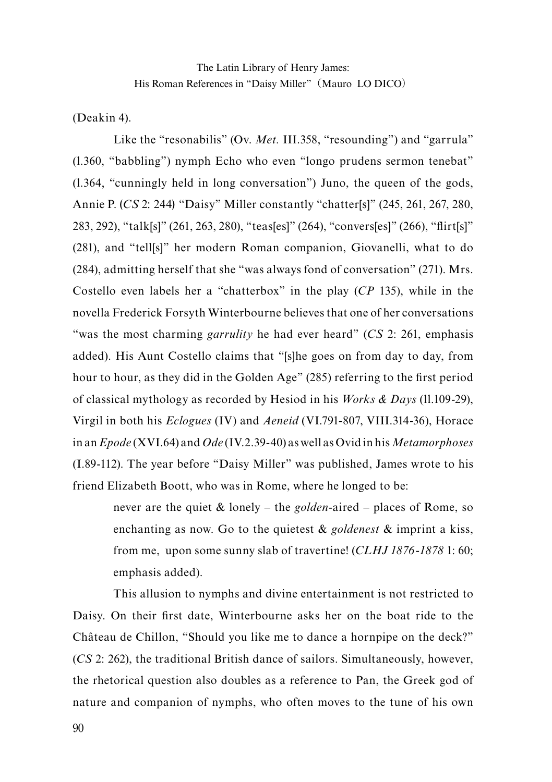(Deakin 4).

Like the "resonabilis" (Ov. *Met.* III.358, "resounding") and "garrula" (l.360, "babbling") nymph Echo who even "longo prudens sermon tenebat" (l.364, "cunningly held in long conversation") Juno, the queen of the gods, Annie P. (*CS* 2: 244) "Daisy" Miller constantly "chatter[s]" (245, 261, 267, 280, 283, 292), "talk[s]" (261, 263, 280), "teas[es]" (264), "convers[es]" (266), "flirt[s]" (281), and "tell[s]" her modern Roman companion, Giovanelli, what to do (284), admitting herself that she "was always fond of conversation" (271). Mrs. Costello even labels her a "chatterbox" in the play (*CP* 135), while in the novella Frederick Forsyth Winterbourne believes that one of her conversations "was the most charming *garrulity* he had ever heard" (*CS* 2: 261, emphasis added). His Aunt Costello claims that "[s]he goes on from day to day, from hour to hour, as they did in the Golden Age" (285) referring to the first period of classical mythology as recorded by Hesiod in his *Works & Days* (ll.109-29), Virgil in both his *Eclogues* (IV) and *Aeneid* (VI.791-807, VIII.314-36), Horace in an *Epode* (XVI.64) and *Ode* (IV.2.39-40) as well as Ovid in his *Metamorphoses* (I.89-112). The year before "Daisy Miller" was published, James wrote to his friend Elizabeth Boott, who was in Rome, where he longed to be:

never are the quiet & lonely – the *golden*-aired – places of Rome, so enchanting as now. Go to the quietest & *goldenest* & imprint a kiss, from me, upon some sunny slab of travertine! (*CLHJ 1876-1878* 1: 60; emphasis added).

This allusion to nymphs and divine entertainment is not restricted to Daisy. On their first date, Winterbourne asks her on the boat ride to the Château de Chillon, "Should you like me to dance a hornpipe on the deck?" (*CS* 2: 262), the traditional British dance of sailors. Simultaneously, however, the rhetorical question also doubles as a reference to Pan, the Greek god of nature and companion of nymphs, who often moves to the tune of his own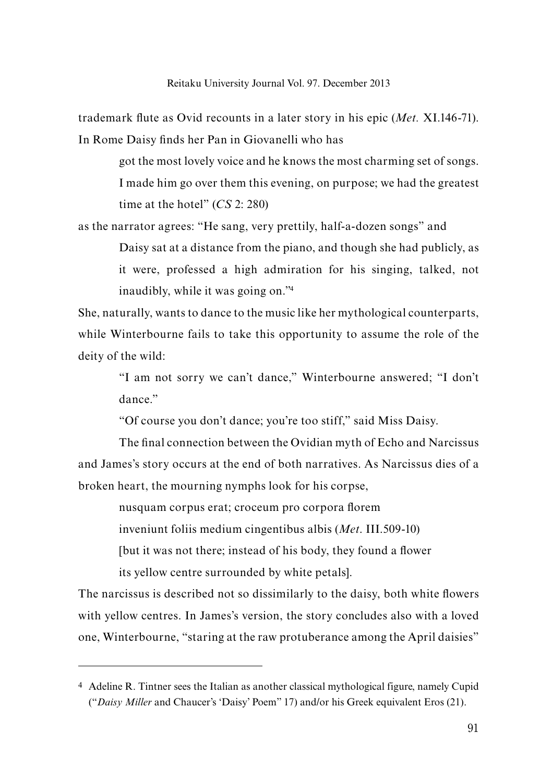trademark flute as Ovid recounts in a later story in his epic (*Met.* XI.146-71). In Rome Daisy finds her Pan in Giovanelli who has

> got the most lovely voice and he knows the most charming set of songs. I made him go over them this evening, on purpose; we had the greatest time at the hotel" (*CS* 2: 280)

as the narrator agrees: "He sang, very prettily, half-a-dozen songs" and Daisy sat at a distance from the piano, and though she had publicly, as it were, professed a high admiration for his singing, talked, not

inaudibly, while it was going on."4

She, naturally, wants to dance to the music like her mythological counterparts, while Winterbourne fails to take this opportunity to assume the role of the deity of the wild:

"I am not sorry we can't dance," Winterbourne answered; "I don't dance"

"Of course you don't dance; you're too stiff," said Miss Daisy.

The final connection between the Ovidian myth of Echo and Narcissus and James's story occurs at the end of both narratives. As Narcissus dies of a broken heart, the mourning nymphs look for his corpse,

nusquam corpus erat; croceum pro corpora florem

inveniunt foliis medium cingentibus albis (*Met*. III.509-10)

[but it was not there; instead of his body, they found a flower

its yellow centre surrounded by white petals].

The narcissus is described not so dissimilarly to the daisy, both white flowers with yellow centres. In James's version, the story concludes also with a loved one, Winterbourne, "staring at the raw protuberance among the April daisies"

<sup>4</sup> Adeline R. Tintner sees the Italian as another classical mythological figure, namely Cupid ("*Daisy Miller* and Chaucer's 'Daisy' Poem" 17) and/or his Greek equivalent Eros (21).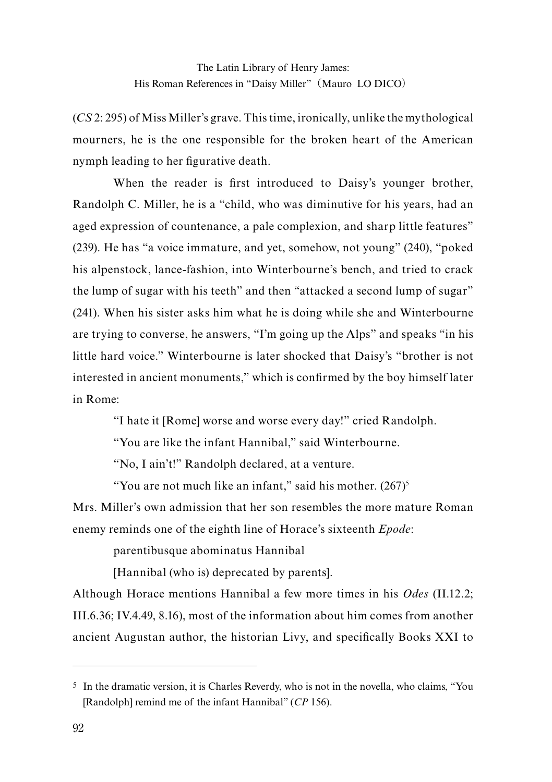(*CS* 2: 295) of Miss Miller's grave. This time, ironically, unlike the mythological mourners, he is the one responsible for the broken heart of the American nymph leading to her figurative death.

When the reader is first introduced to Daisy's younger brother, Randolph C. Miller, he is a "child, who was diminutive for his years, had an aged expression of countenance, a pale complexion, and sharp little features" (239). He has "a voice immature, and yet, somehow, not young" (240), "poked his alpenstock, lance-fashion, into Winterbourne's bench, and tried to crack the lump of sugar with his teeth" and then "attacked a second lump of sugar" (241). When his sister asks him what he is doing while she and Winterbourne are trying to converse, he answers, "I'm going up the Alps" and speaks "in his little hard voice." Winterbourne is later shocked that Daisy's "brother is not interested in ancient monuments," which is confirmed by the boy himself later in Rome:

"I hate it [Rome] worse and worse every day!" cried Randolph.

"You are like the infant Hannibal," said Winterbourne.

"No, I ain't!" Randolph declared, at a venture.

"You are not much like an infant," said his mother.  $(267)^5$ 

Mrs. Miller's own admission that her son resembles the more mature Roman enemy reminds one of the eighth line of Horace's sixteenth *Epode*:

parentibusque abominatus Hannibal

[Hannibal (who is) deprecated by parents].

Although Horace mentions Hannibal a few more times in his *Odes* (II.12.2; III.6.36; IV.4.49, 8.16), most of the information about him comes from another ancient Augustan author, the historian Livy, and specifically Books XXI to

<sup>5</sup> In the dramatic version, it is Charles Reverdy, who is not in the novella, who claims, "You [Randolph] remind me of the infant Hannibal" (*CP* 156).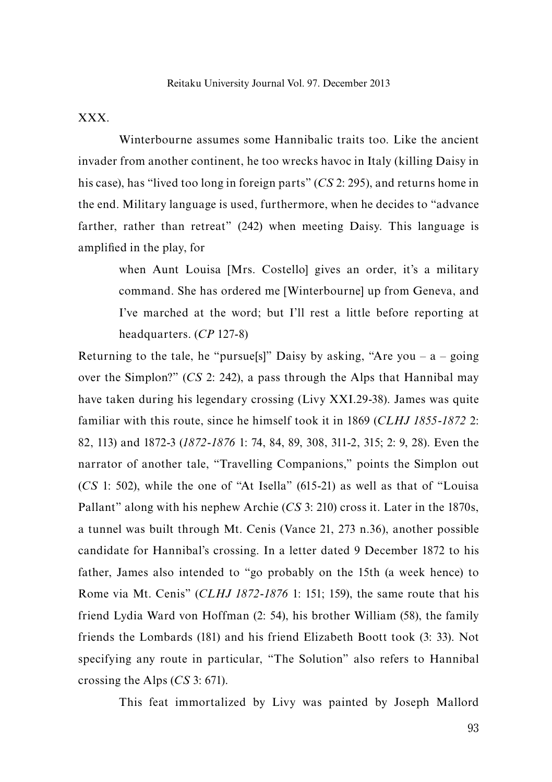## XXX.

Winterbourne assumes some Hannibalic traits too. Like the ancient invader from another continent, he too wrecks havoc in Italy (killing Daisy in his case), has "lived too long in foreign parts" (*CS* 2: 295), and returns home in the end. Military language is used, furthermore, when he decides to "advance farther, rather than retreat" (242) when meeting Daisy. This language is amplified in the play, for

when Aunt Louisa [Mrs. Costello] gives an order, it's a military command. She has ordered me [Winterbourne] up from Geneva, and I've marched at the word; but I'll rest a little before reporting at headquarters. (*CP* 127-8)

Returning to the tale, he "pursue<sup>[s]"</sup> Daisy by asking, "Are you – a – going over the Simplon?" (*CS* 2: 242), a pass through the Alps that Hannibal may have taken during his legendary crossing (Livy XXI.29-38). James was quite familiar with this route, since he himself took it in 1869 (*CLHJ 1855-1872* 2: 82, 113) and 1872-3 (*1872-1876* 1: 74, 84, 89, 308, 311-2, 315; 2: 9, 28). Even the narrator of another tale, "Travelling Companions," points the Simplon out (*CS* 1: 502), while the one of "At Isella" (615-21) as well as that of "Louisa Pallant" along with his nephew Archie (*CS* 3: 210) cross it. Later in the 1870s, a tunnel was built through Mt. Cenis (Vance 21, 273 n.36), another possible candidate for Hannibal's crossing. In a letter dated 9 December 1872 to his father, James also intended to "go probably on the 15th (a week hence) to Rome via Mt. Cenis" (*CLHJ 1872-1876* 1: 151; 159), the same route that his friend Lydia Ward von Hoffman (2: 54), his brother William (58), the family friends the Lombards (181) and his friend Elizabeth Boott took (3: 33). Not specifying any route in particular, "The Solution" also refers to Hannibal crossing the Alps (*CS* 3: 671).

This feat immortalized by Livy was painted by Joseph Mallord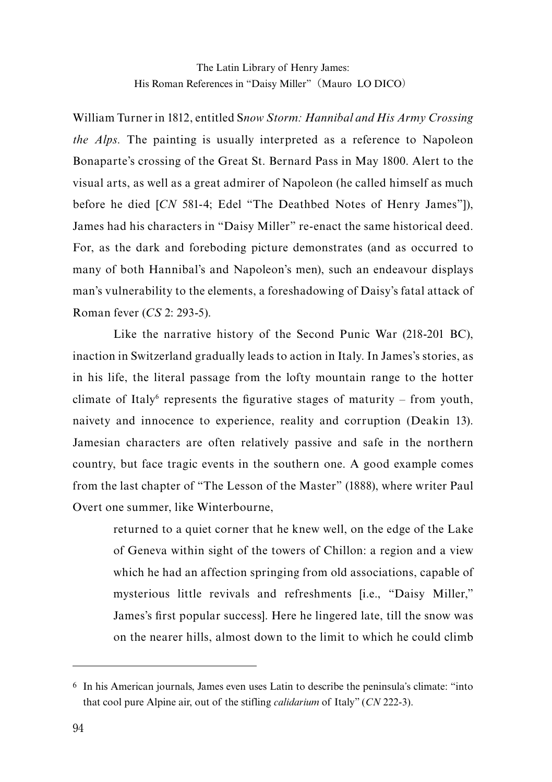William Turner in 1812, entitled S*now Storm: Hannibal and His Army Crossing the Alps.* The painting is usually interpreted as a reference to Napoleon Bonaparte's crossing of the Great St. Bernard Pass in May 1800. Alert to the visual arts, as well as a great admirer of Napoleon (he called himself as much before he died [*CN* 581-4; Edel "The Deathbed Notes of Henry James"]), James had his characters in "Daisy Miller" re-enact the same historical deed. For, as the dark and foreboding picture demonstrates (and as occurred to many of both Hannibal's and Napoleon's men), such an endeavour displays man's vulnerability to the elements, a foreshadowing of Daisy's fatal attack of Roman fever (*CS* 2: 293-5).

Like the narrative history of the Second Punic War (218-201 BC), inaction in Switzerland gradually leads to action in Italy. In James's stories, as in his life, the literal passage from the lofty mountain range to the hotter climate of Italy<sup>6</sup> represents the figurative stages of maturity – from youth, naivety and innocence to experience, reality and corruption (Deakin 13). Jamesian characters are often relatively passive and safe in the northern country, but face tragic events in the southern one. A good example comes from the last chapter of "The Lesson of the Master" (1888), where writer Paul Overt one summer, like Winterbourne,

returned to a quiet corner that he knew well, on the edge of the Lake of Geneva within sight of the towers of Chillon: a region and a view which he had an affection springing from old associations, capable of mysterious little revivals and refreshments [i.e., "Daisy Miller," James's first popular success]. Here he lingered late, till the snow was on the nearer hills, almost down to the limit to which he could climb

<sup>6</sup> In his American journals, James even uses Latin to describe the peninsula's climate: "into that cool pure Alpine air, out of the stifling *calidarium* of Italy" (*CN* 222-3).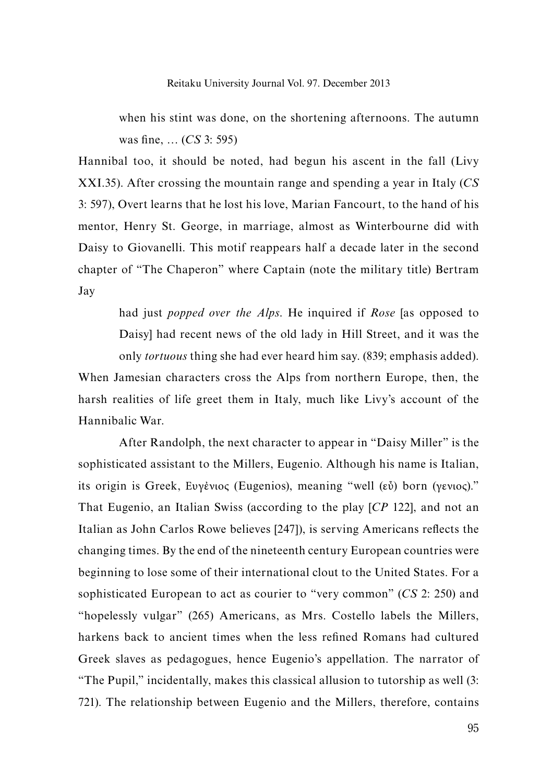when his stint was done, on the shortening afternoons. The autumn was fine, … (*CS* 3: 595)

Hannibal too, it should be noted, had begun his ascent in the fall (Livy XXI.35). After crossing the mountain range and spending a year in Italy (*CS* 3: 597), Overt learns that he lost his love, Marian Fancourt, to the hand of his mentor, Henry St. George, in marriage, almost as Winterbourne did with Daisy to Giovanelli. This motif reappears half a decade later in the second chapter of "The Chaperon" where Captain (note the military title) Bertram Jay

had just *popped over the Alps*. He inquired if *Rose* [as opposed to Daisy] had recent news of the old lady in Hill Street, and it was the only *tortuous* thing she had ever heard him say. (839; emphasis added).

When Jamesian characters cross the Alps from northern Europe, then, the harsh realities of life greet them in Italy, much like Livy's account of the Hannibalic War.

After Randolph, the next character to appear in "Daisy Miller" is the sophisticated assistant to the Millers, Eugenio. Although his name is Italian, its origin is Greek, Ευγἐνιος (Eugenios), meaning "well (εὖ) born (γενιος)." That Eugenio, an Italian Swiss (according to the play [*CP* 122], and not an Italian as John Carlos Rowe believes [247]), is serving Americans reflects the changing times. By the end of the nineteenth century European countries were beginning to lose some of their international clout to the United States. For a sophisticated European to act as courier to "very common" (*CS* 2: 250) and "hopelessly vulgar" (265) Americans, as Mrs. Costello labels the Millers, harkens back to ancient times when the less refined Romans had cultured Greek slaves as pedagogues, hence Eugenio's appellation. The narrator of "The Pupil," incidentally, makes this classical allusion to tutorship as well (3: 721). The relationship between Eugenio and the Millers, therefore, contains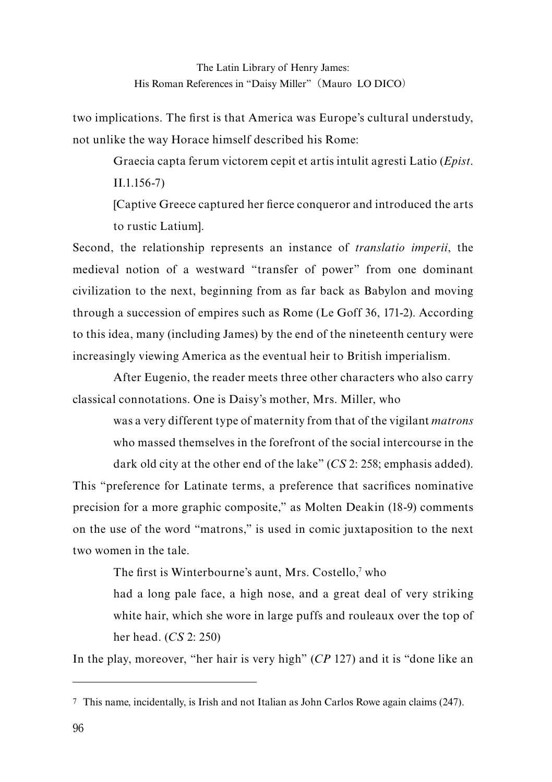two implications. The first is that America was Europe's cultural understudy, not unlike the way Horace himself described his Rome:

Graecia capta ferum victorem cepit et artis intulit agresti Latio (*Epist*. II.1.156-7)

[Captive Greece captured her fierce conqueror and introduced the arts to rustic Latium].

Second, the relationship represents an instance of *translatio imperii*, the medieval notion of a westward "transfer of power" from one dominant civilization to the next, beginning from as far back as Babylon and moving through a succession of empires such as Rome (Le Goff 36, 171-2). According to this idea, many (including James) by the end of the nineteenth century were increasingly viewing America as the eventual heir to British imperialism.

After Eugenio, the reader meets three other characters who also carry classical connotations. One is Daisy's mother, Mrs. Miller, who

was a very different type of maternity from that of the vigilant *matrons*  who massed themselves in the forefront of the social intercourse in the

dark old city at the other end of the lake" (*CS* 2: 258; emphasis added). This "preference for Latinate terms, a preference that sacrifices nominative precision for a more graphic composite," as Molten Deakin (18-9) comments on the use of the word "matrons," is used in comic juxtaposition to the next two women in the tale.

The first is Winterbourne's aunt, Mrs. Costello,<sup>7</sup> who

had a long pale face, a high nose, and a great deal of very striking white hair, which she wore in large puffs and rouleaux over the top of her head. (*CS* 2: 250)

In the play, moreover, "her hair is very high" (*CP* 127) and it is "done like an

<sup>7</sup> This name, incidentally, is Irish and not Italian as John Carlos Rowe again claims (247).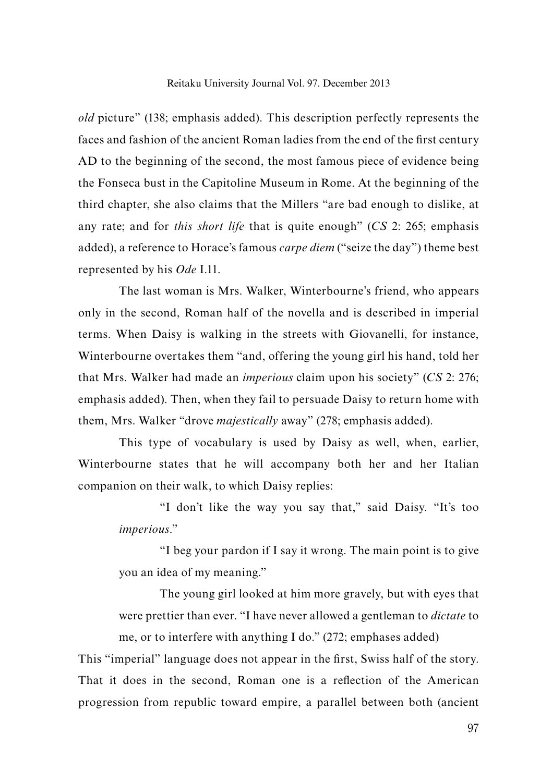*old* picture" (138; emphasis added). This description perfectly represents the faces and fashion of the ancient Roman ladies from the end of the first century AD to the beginning of the second, the most famous piece of evidence being the Fonseca bust in the Capitoline Museum in Rome. At the beginning of the third chapter, she also claims that the Millers "are bad enough to dislike, at any rate; and for *this short life* that is quite enough" (*CS* 2: 265; emphasis added), a reference to Horace's famous *carpe diem* ("seize the day") theme best represented by his *Ode* I.11.

The last woman is Mrs. Walker, Winterbourne's friend, who appears only in the second, Roman half of the novella and is described in imperial terms. When Daisy is walking in the streets with Giovanelli, for instance, Winterbourne overtakes them "and, offering the young girl his hand, told her that Mrs. Walker had made an *imperious* claim upon his society" (*CS* 2: 276; emphasis added). Then, when they fail to persuade Daisy to return home with them, Mrs. Walker "drove *majestically* away" (278; emphasis added).

This type of vocabulary is used by Daisy as well, when, earlier, Winterbourne states that he will accompany both her and her Italian companion on their walk, to which Daisy replies:

"I don't like the way you say that," said Daisy. "It's too *imperious*."

"I beg your pardon if I say it wrong. The main point is to give you an idea of my meaning."

The young girl looked at him more gravely, but with eyes that were prettier than ever. "I have never allowed a gentleman to *dictate* to me, or to interfere with anything I do." (272; emphases added)

This "imperial" language does not appear in the first, Swiss half of the story. That it does in the second, Roman one is a reflection of the American progression from republic toward empire, a parallel between both (ancient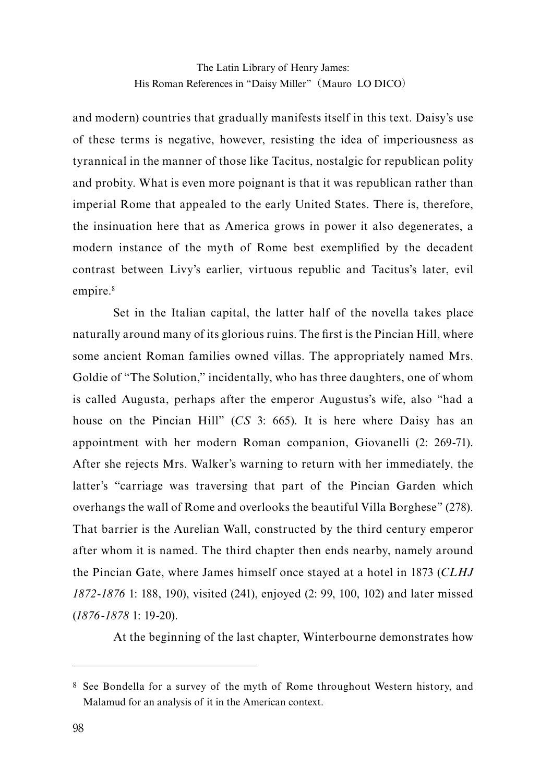and modern) countries that gradually manifests itself in this text. Daisy's use of these terms is negative, however, resisting the idea of imperiousness as tyrannical in the manner of those like Tacitus, nostalgic for republican polity and probity. What is even more poignant is that it was republican rather than imperial Rome that appealed to the early United States. There is, therefore, the insinuation here that as America grows in power it also degenerates, a modern instance of the myth of Rome best exemplified by the decadent contrast between Livy's earlier, virtuous republic and Tacitus's later, evil empire.<sup>8</sup>

Set in the Italian capital, the latter half of the novella takes place naturally around many of its glorious ruins. The first is the Pincian Hill, where some ancient Roman families owned villas. The appropriately named Mrs. Goldie of "The Solution," incidentally, who has three daughters, one of whom is called Augusta, perhaps after the emperor Augustus's wife, also "had a house on the Pincian Hill" (*CS* 3: 665). It is here where Daisy has an appointment with her modern Roman companion, Giovanelli (2: 269-71). After she rejects Mrs. Walker's warning to return with her immediately, the latter's "carriage was traversing that part of the Pincian Garden which overhangs the wall of Rome and overlooks the beautiful Villa Borghese" (278). That barrier is the Aurelian Wall, constructed by the third century emperor after whom it is named. The third chapter then ends nearby, namely around the Pincian Gate, where James himself once stayed at a hotel in 1873 (*CLHJ 1872-1876* 1: 188, 190), visited (241), enjoyed (2: 99, 100, 102) and later missed (*1876-1878* 1: 19-20).

At the beginning of the last chapter, Winterbourne demonstrates how

<sup>8</sup> See Bondella for a survey of the myth of Rome throughout Western history, and Malamud for an analysis of it in the American context.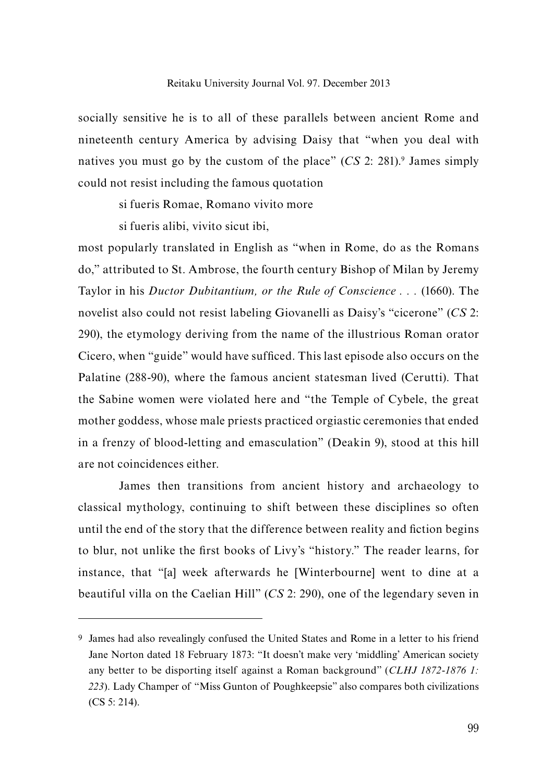socially sensitive he is to all of these parallels between ancient Rome and nineteenth century America by advising Daisy that "when you deal with natives you must go by the custom of the place" (*CS* 2: 281).9 James simply could not resist including the famous quotation

si fueris Romae, Romano vivito more

si fueris alibi, vivito sicut ibi,

most popularly translated in English as "when in Rome, do as the Romans do," attributed to St. Ambrose, the fourth century Bishop of Milan by Jeremy Taylor in his *Ductor Dubitantium, or the Rule of Conscience . . .* (1660). The novelist also could not resist labeling Giovanelli as Daisy's "cicerone" (*CS* 2: 290), the etymology deriving from the name of the illustrious Roman orator Cicero, when "guide" would have sufficed. This last episode also occurs on the Palatine (288-90), where the famous ancient statesman lived (Cerutti). That the Sabine women were violated here and "the Temple of Cybele, the great mother goddess, whose male priests practiced orgiastic ceremonies that ended in a frenzy of blood-letting and emasculation" (Deakin 9), stood at this hill are not coincidences either.

James then transitions from ancient history and archaeology to classical mythology, continuing to shift between these disciplines so often until the end of the story that the difference between reality and fiction begins to blur, not unlike the first books of Livy's "history." The reader learns, for instance, that "[a] week afterwards he [Winterbourne] went to dine at a beautiful villa on the Caelian Hill" (*CS* 2: 290), one of the legendary seven in

<sup>9</sup> James had also revealingly confused the United States and Rome in a letter to his friend Jane Norton dated 18 February 1873: "It doesn't make very 'middling' American society any better to be disporting itself against a Roman background" (*CLHJ 1872-1876 1: 223*). Lady Champer of "Miss Gunton of Poughkeepsie" also compares both civilizations (CS 5: 214).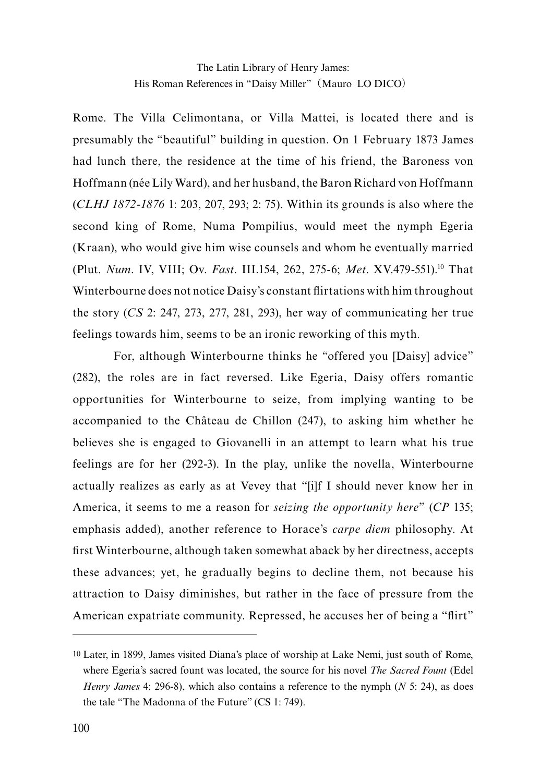Rome. The Villa Celimontana, or Villa Mattei, is located there and is presumably the "beautiful" building in question. On 1 February 1873 James had lunch there, the residence at the time of his friend, the Baroness von Hoffmann (née Lily Ward), and her husband, the Baron Richard von Hoffmann (*CLHJ 1872-1876* 1: 203, 207, 293; 2: 75). Within its grounds is also where the second king of Rome, Numa Pompilius, would meet the nymph Egeria (Kraan), who would give him wise counsels and whom he eventually married (Plut. *Num*. IV, VIII; Ov. *Fast*. III.154, 262, 275-6; *Met*. XV.479-551).10 That Winterbourne does not notice Daisy's constant flirtations with him throughout the story (*CS* 2: 247, 273, 277, 281, 293), her way of communicating her true feelings towards him, seems to be an ironic reworking of this myth.

For, although Winterbourne thinks he "offered you [Daisy] advice" (282), the roles are in fact reversed. Like Egeria, Daisy offers romantic opportunities for Winterbourne to seize, from implying wanting to be accompanied to the Château de Chillon (247), to asking him whether he believes she is engaged to Giovanelli in an attempt to learn what his true feelings are for her (292-3). In the play, unlike the novella, Winterbourne actually realizes as early as at Vevey that "[i]f I should never know her in America, it seems to me a reason for *seizing the opportunity here*" (*CP* 135; emphasis added), another reference to Horace's *carpe diem* philosophy. At first Winterbourne, although taken somewhat aback by her directness, accepts these advances; yet, he gradually begins to decline them, not because his attraction to Daisy diminishes, but rather in the face of pressure from the American expatriate community. Repressed, he accuses her of being a "flirt"

<sup>10</sup> Later, in 1899, James visited Diana's place of worship at Lake Nemi, just south of Rome, where Egeria's sacred fount was located, the source for his novel *The Sacred Fount* (Edel *Henry James* 4: 296-8), which also contains a reference to the nymph (*N* 5: 24), as does the tale "The Madonna of the Future" (CS 1: 749).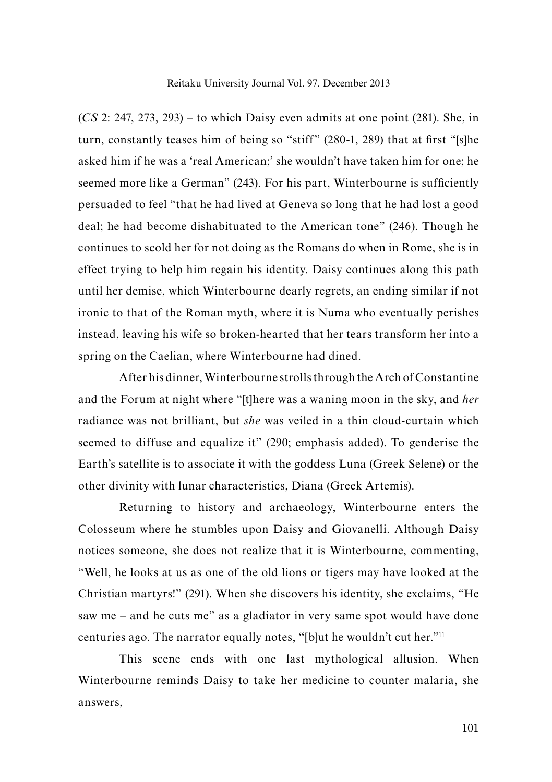(*CS* 2: 247, 273, 293) – to which Daisy even admits at one point (281). She, in turn, constantly teases him of being so "stiff" (280-1, 289) that at first "[s]he asked him if he was a 'real American;' she wouldn't have taken him for one; he seemed more like a German" (243). For his part, Winterbourne is sufficiently persuaded to feel "that he had lived at Geneva so long that he had lost a good deal; he had become dishabituated to the American tone" (246). Though he continues to scold her for not doing as the Romans do when in Rome, she is in effect trying to help him regain his identity. Daisy continues along this path until her demise, which Winterbourne dearly regrets, an ending similar if not ironic to that of the Roman myth, where it is Numa who eventually perishes instead, leaving his wife so broken-hearted that her tears transform her into a spring on the Caelian, where Winterbourne had dined.

After his dinner, Winterbourne strolls through the Arch of Constantine and the Forum at night where "[t]here was a waning moon in the sky, and *her* radiance was not brilliant, but *she* was veiled in a thin cloud-curtain which seemed to diffuse and equalize it" (290; emphasis added). To genderise the Earth's satellite is to associate it with the goddess Luna (Greek Selene) or the other divinity with lunar characteristics, Diana (Greek Artemis).

Returning to history and archaeology, Winterbourne enters the Colosseum where he stumbles upon Daisy and Giovanelli. Although Daisy notices someone, she does not realize that it is Winterbourne, commenting, "Well, he looks at us as one of the old lions or tigers may have looked at the Christian martyrs!" (291). When she discovers his identity, she exclaims, "He saw me – and he cuts me" as a gladiator in very same spot would have done centuries ago. The narrator equally notes, "[b]ut he wouldn't cut her."11

This scene ends with one last mythological allusion. When Winterbourne reminds Daisy to take her medicine to counter malaria, she answers,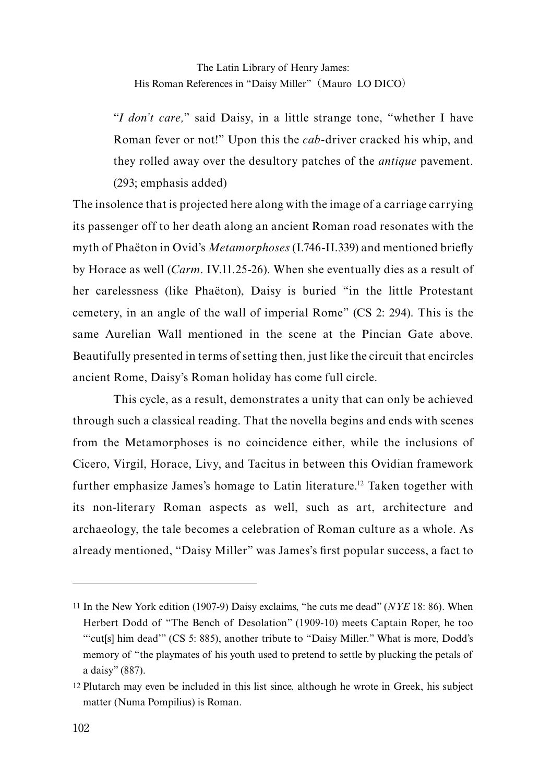"*I don't care,*" said Daisy, in a little strange tone, "whether I have Roman fever or not!" Upon this the *cab*-driver cracked his whip, and they rolled away over the desultory patches of the *antique* pavement. (293; emphasis added)

The insolence that is projected here along with the image of a carriage carrying its passenger off to her death along an ancient Roman road resonates with the myth of Phaëton in Ovid's *Metamorphoses* (I.746-II.339) and mentioned briefly by Horace as well (*Carm*. IV.11.25-26). When she eventually dies as a result of her carelessness (like Phaëton), Daisy is buried "in the little Protestant cemetery, in an angle of the wall of imperial Rome" (CS 2: 294). This is the same Aurelian Wall mentioned in the scene at the Pincian Gate above. Beautifully presented in terms of setting then, just like the circuit that encircles ancient Rome, Daisy's Roman holiday has come full circle.

This cycle, as a result, demonstrates a unity that can only be achieved through such a classical reading. That the novella begins and ends with scenes from the Metamorphoses is no coincidence either, while the inclusions of Cicero, Virgil, Horace, Livy, and Tacitus in between this Ovidian framework further emphasize James's homage to Latin literature.12 Taken together with its non-literary Roman aspects as well, such as art, architecture and archaeology, the tale becomes a celebration of Roman culture as a whole. As already mentioned, "Daisy Miller" was James's first popular success, a fact to

<sup>11</sup> In the New York edition (1907-9) Daisy exclaims, "he cuts me dead" (*NYE* 18: 86). When Herbert Dodd of "The Bench of Desolation" (1909-10) meets Captain Roper, he too "'cut[s] him dead'" (CS 5: 885), another tribute to "Daisy Miller." What is more, Dodd's memory of "the playmates of his youth used to pretend to settle by plucking the petals of a daisy" (887).

<sup>12</sup> Plutarch may even be included in this list since, although he wrote in Greek, his subject matter (Numa Pompilius) is Roman.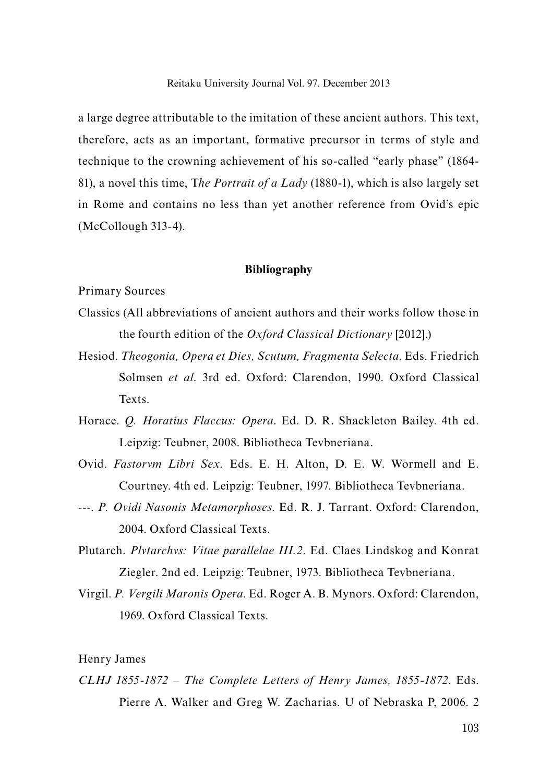a large degree attributable to the imitation of these ancient authors. This text, therefore, acts as an important, formative precursor in terms of style and technique to the crowning achievement of his so-called "early phase" (1864- 81), a novel this time, T*he Portrait of a Lady* (1880-1), which is also largely set in Rome and contains no less than yet another reference from Ovid's epic (McCollough 313-4).

## **Bibliography**

Primary Sources

- Classics (All abbreviations of ancient authors and their works follow those in the fourth edition of the *Oxford Classical Dictionary* [2012].)
- Hesiod. *Theogonia, Opera et Dies, Scutum, Fragmenta Selecta*. Eds. Friedrich Solmsen *et al*. 3rd ed. Oxford: Clarendon, 1990. Oxford Classical Texts.
- Horace. *Q. Horatius Flaccus: Opera*. Ed. D. R. Shackleton Bailey. 4th ed. Leipzig: Teubner, 2008. Bibliotheca Tevbneriana.
- Ovid. *Fastorvm Libri Sex.* Eds. E. H. Alton, D. E. W. Wormell and E. Courtney. 4th ed. Leipzig: Teubner, 1997. Bibliotheca Tevbneriana.
- ---. *P. Ovidi Nasonis Metamorphoses*. Ed. R. J. Tarrant. Oxford: Clarendon, 2004. Oxford Classical Texts.
- Plutarch. *Plvtarchvs: Vitae parallelae III.2*. Ed. Claes Lindskog and Konrat Ziegler. 2nd ed. Leipzig: Teubner, 1973. Bibliotheca Tevbneriana.
- Virgil. *P. Vergili Maronis Opera*. Ed. Roger A. B. Mynors. Oxford: Clarendon, 1969. Oxford Classical Texts.

# Henry James

*CLHJ 1855-1872 – The Complete Letters of Henry James, 1855-1872*. Eds. Pierre A. Walker and Greg W. Zacharias. U of Nebraska P, 2006. 2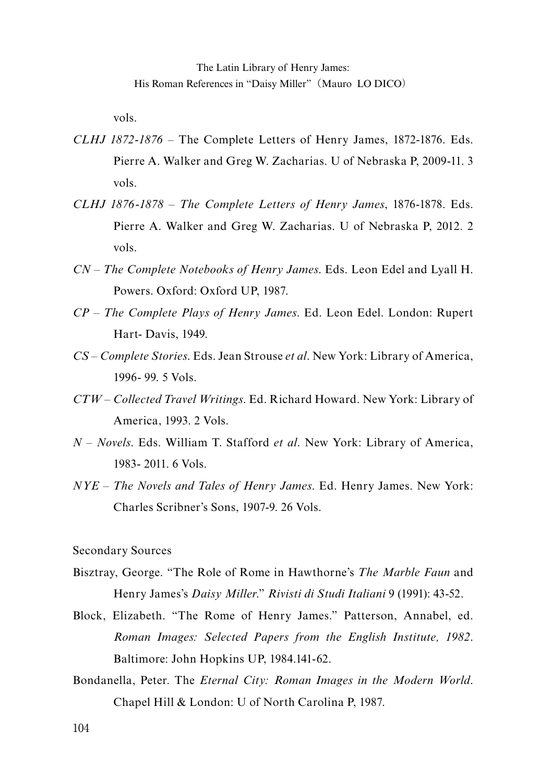vols.

- *CLHJ 1872-1876* The Complete Letters of Henry James, 1872-1876. Eds. Pierre A. Walker and Greg W. Zacharias. U of Nebraska P, 2009-11. 3 vols.
- *CLHJ 1876-1878 The Complete Letters of Henry James*, 1876-1878. Eds. Pierre A. Walker and Greg W. Zacharias. U of Nebraska P, 2012. 2 vols.
- *CN The Complete Notebooks of Henry James*. Eds. Leon Edel and Lyall H. Powers. Oxford: Oxford UP, 1987.
- *CP The Complete Plays of Henry James*. Ed. Leon Edel. London: Rupert Hart- Davis, 1949.
- *CS Complete Stories*. Eds. Jean Strouse *et al*. New York: Library of America, 1996- 99. 5 Vols.
- *CTW Collected Travel Writings*. Ed. Richard Howard. New York: Library of America, 1993. 2 Vols.
- *N Novels*. Eds. William T. Stafford *et al*. New York: Library of America, 1983- 2011. 6 Vols.
- *NYE The Novels and Tales of Henry James*. Ed. Henry James. New York: Charles Scribner's Sons, 1907-9. 26 Vols.

Secondary Sources

- Bisztray, George. "The Role of Rome in Hawthorne's *The Marble Faun* and Henry James's *Daisy Miller*." *Rivisti di Studi Italiani* 9 (1991): 43-52.
- Block, Elizabeth. "The Rome of Henry James." Patterson, Annabel, ed. *Roman Images: Selected Papers from the English Institute, 1982*. Baltimore: John Hopkins UP, 1984.141-62.
- Bondanella, Peter. The *Eternal City: Roman Images in the Modern World*. Chapel Hill & London: U of North Carolina P, 1987.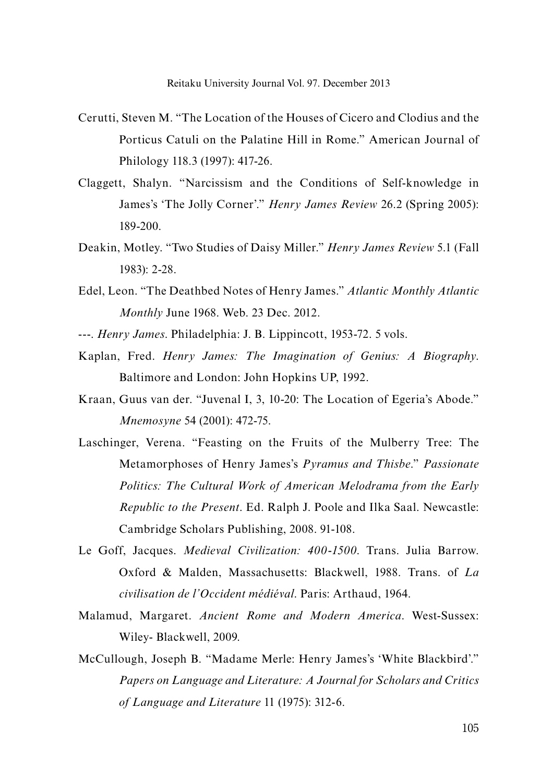- Cerutti, Steven M. "The Location of the Houses of Cicero and Clodius and the Porticus Catuli on the Palatine Hill in Rome." American Journal of Philology 118.3 (1997): 417-26.
- Claggett, Shalyn. "Narcissism and the Conditions of Self-knowledge in James's 'The Jolly Corner'." *Henry James Review* 26.2 (Spring 2005): 189-200.
- Deakin, Motley. "Two Studies of Daisy Miller." *Henry James Review* 5.1 (Fall 1983): 2-28.
- Edel, Leon. "The Deathbed Notes of Henry James." *Atlantic Monthly Atlantic Monthly* June 1968. Web. 23 Dec. 2012.
- ---. *Henry James*. Philadelphia: J. B. Lippincott, 1953-72. 5 vols.
- Kaplan, Fred. *Henry James: The Imagination of Genius: A Biography*. Baltimore and London: John Hopkins UP, 1992.
- Kraan, Guus van der. "Juvenal I, 3, 10-20: The Location of Egeria's Abode." *Mnemosyne* 54 (2001): 472-75.
- Laschinger, Verena. "Feasting on the Fruits of the Mulberry Tree: The Metamorphoses of Henry James's *Pyramus and Thisbe*." *Passionate Politics: The Cultural Work of American Melodrama from the Early Republic to the Present*. Ed. Ralph J. Poole and Ilka Saal. Newcastle: Cambridge Scholars Publishing, 2008. 91-108.
- Le Goff, Jacques. *Medieval Civilization: 400-1500*. Trans. Julia Barrow. Oxford & Malden, Massachusetts: Blackwell, 1988. Trans. of *La civilisation de l'Occident médiéval*. Paris: Arthaud, 1964.
- Malamud, Margaret. *Ancient Rome and Modern America*. West-Sussex: Wiley- Blackwell, 2009.
- McCullough, Joseph B. "Madame Merle: Henry James's 'White Blackbird'." *Papers on Language and Literature: A Journal for Scholars and Critics of Language and Literature* 11 (1975): 312-6.